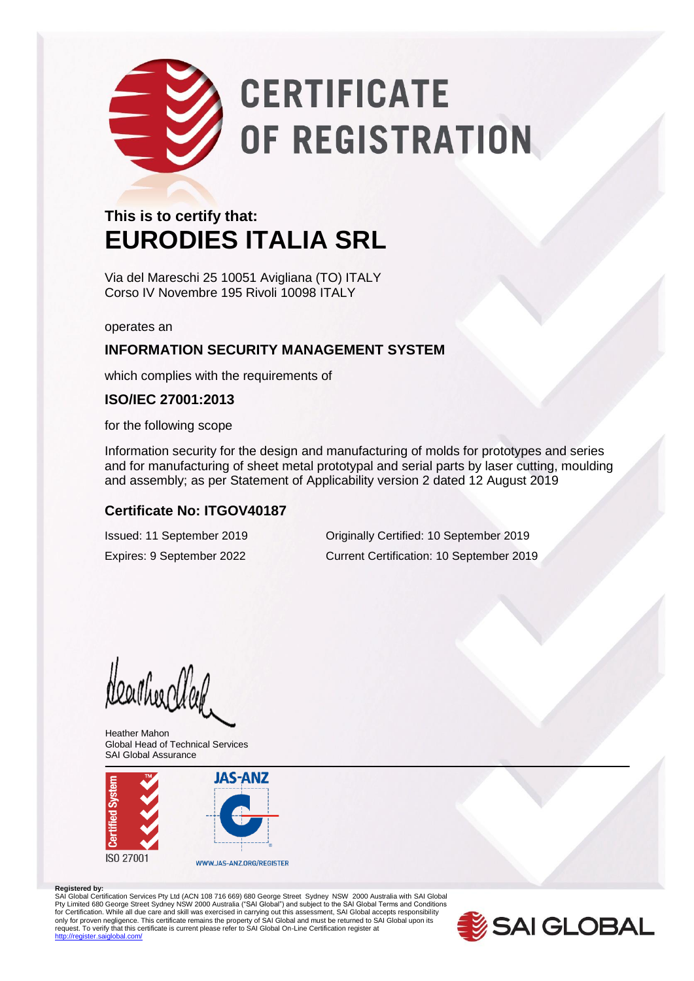# **CERTIFICATE** OF REGISTRATION

### **This is to certify that: EURODIES ITALIA SRL**

Via del Mareschi 25 10051 Avigliana (TO) ITALY Corso IV Novembre 195 Rivoli 10098 ITALY

operates an

#### **INFORMATION SECURITY MANAGEMENT SYSTEM**

which complies with the requirements of

#### **ISO/IEC 27001:2013**

for the following scope

Information security for the design and manufacturing of molds for prototypes and series and for manufacturing of sheet metal prototypal and serial parts by laser cutting, moulding and assembly; as per Statement of Applicability version 2 dated 12 August 2019

#### **Certificate No: ITGOV40187**

Issued: 11 September 2019 Originally Certified: 10 September 2019 Expires: 9 September 2022 Current Certification: 10 September 2019

Heartheartleet

Heather Mahon Global Head of Technical Services SAI Global Assurance



#### **Registered by:**

SAI Global Certification Services Pty Ltd (ACN 108 716 669) 680 George Street Sydney NSW 2000 Australia with SAI Global Pty Limited 680 George Street Sydney NSW 2000 Australia ("SAI Global") and subject to the SAI Global Terms and Conditions<br>for Certification. While all due care and skill was exercised in carrying out this assessment, SAI G only for proven negligence. This certificate remains the property of SAI Global and must be returned to SAI Global upon its<br>request. To verify that this certificate is current please refer to SAI Global On-Line Certificati dlobal.com/